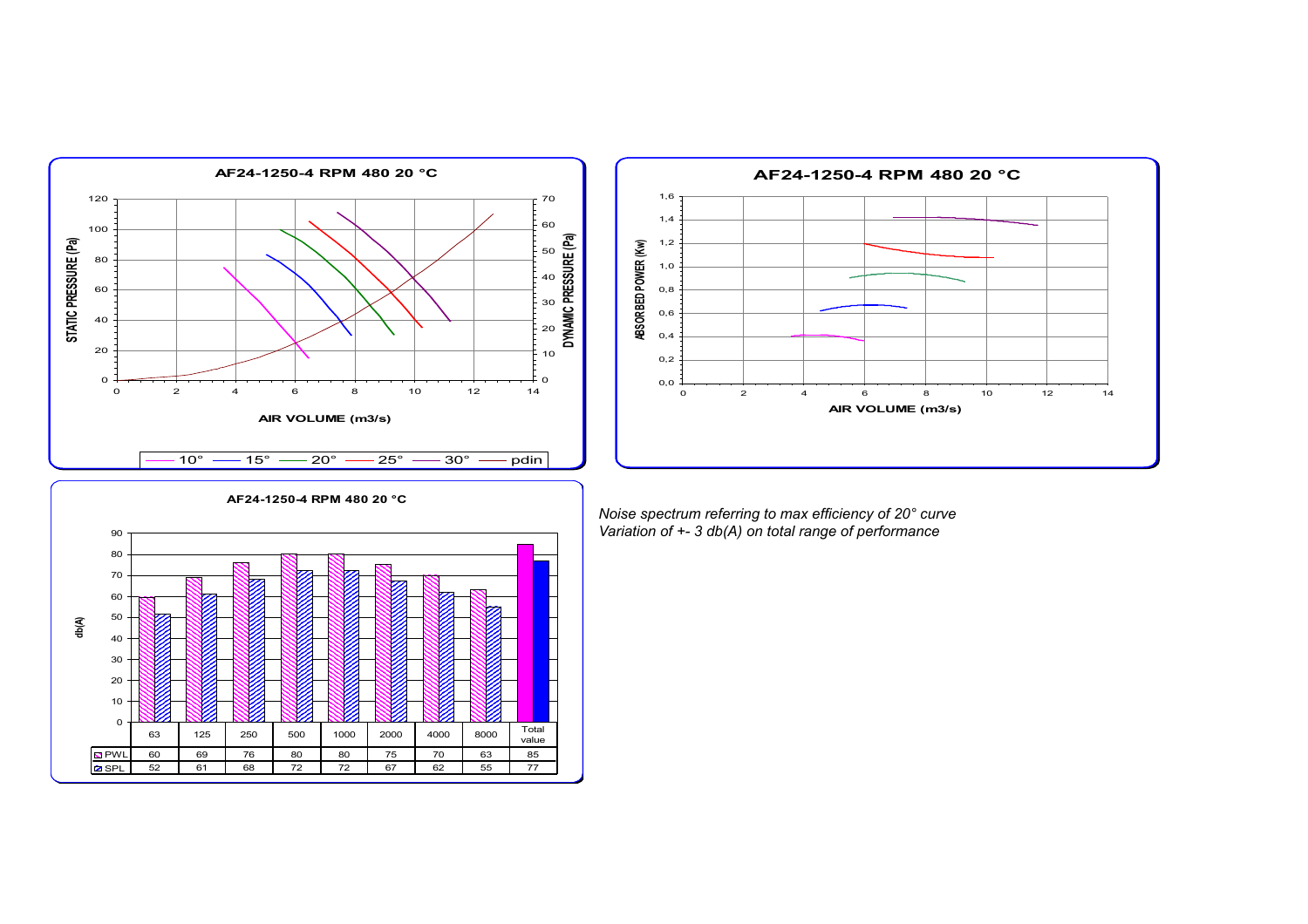



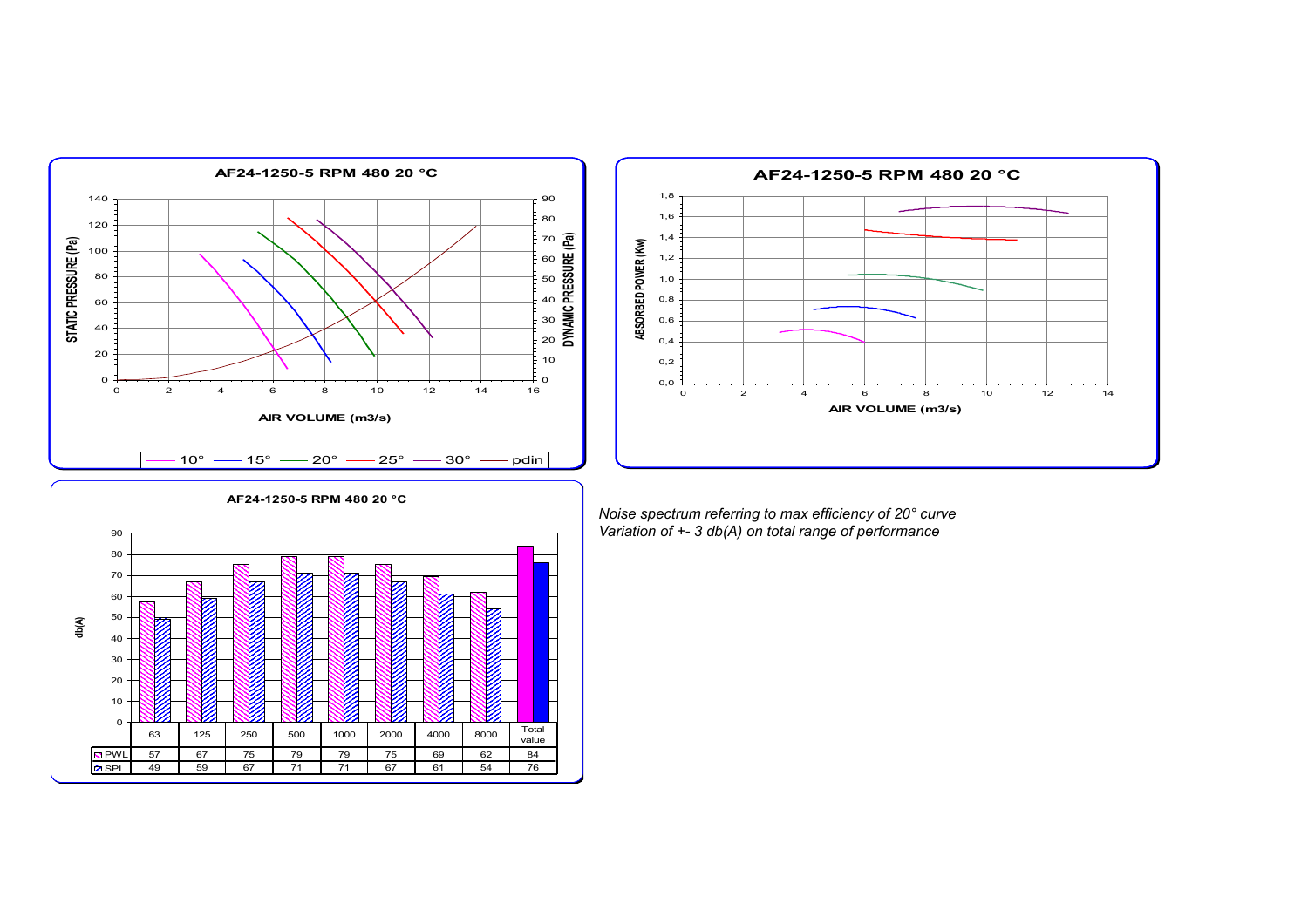



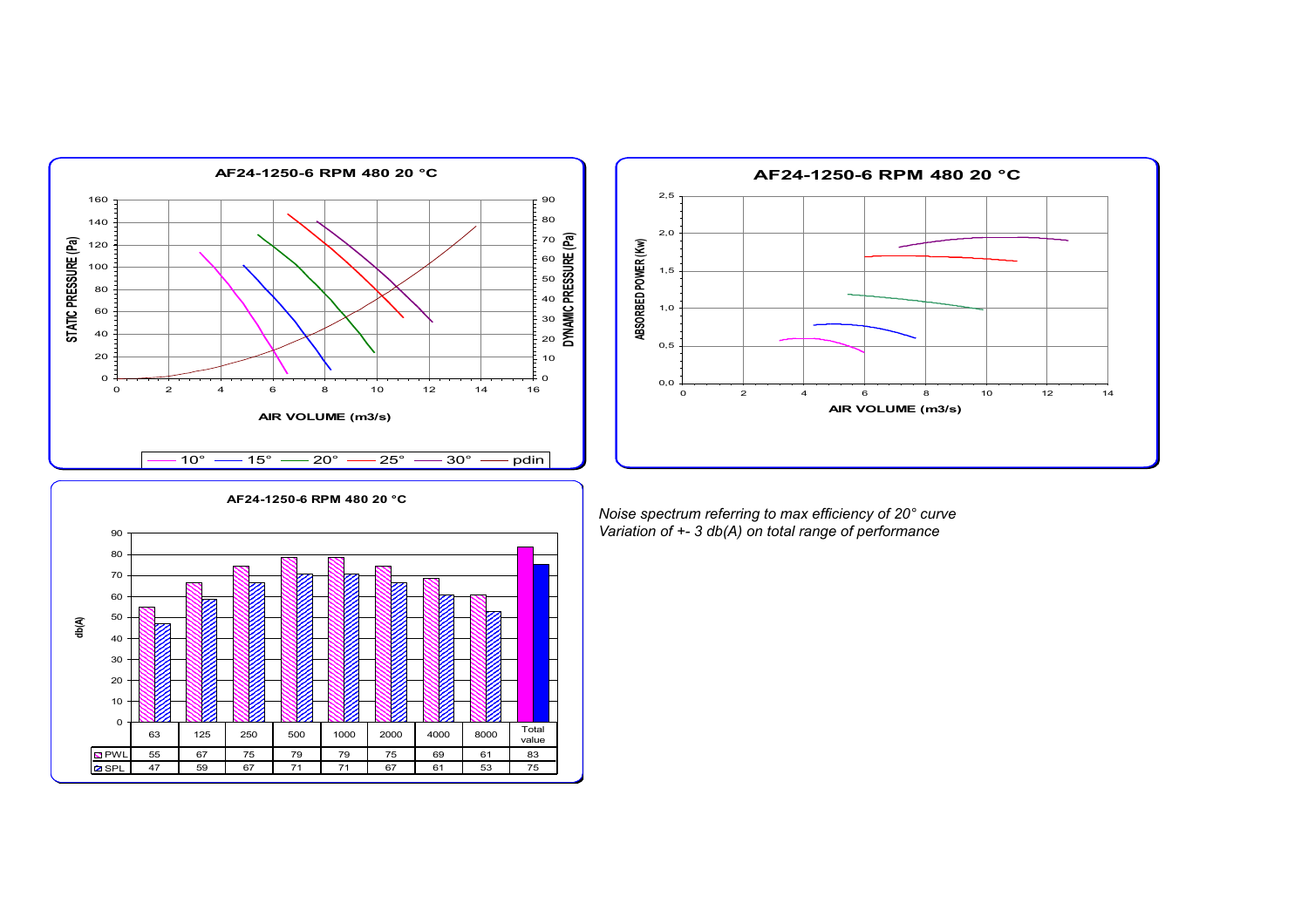



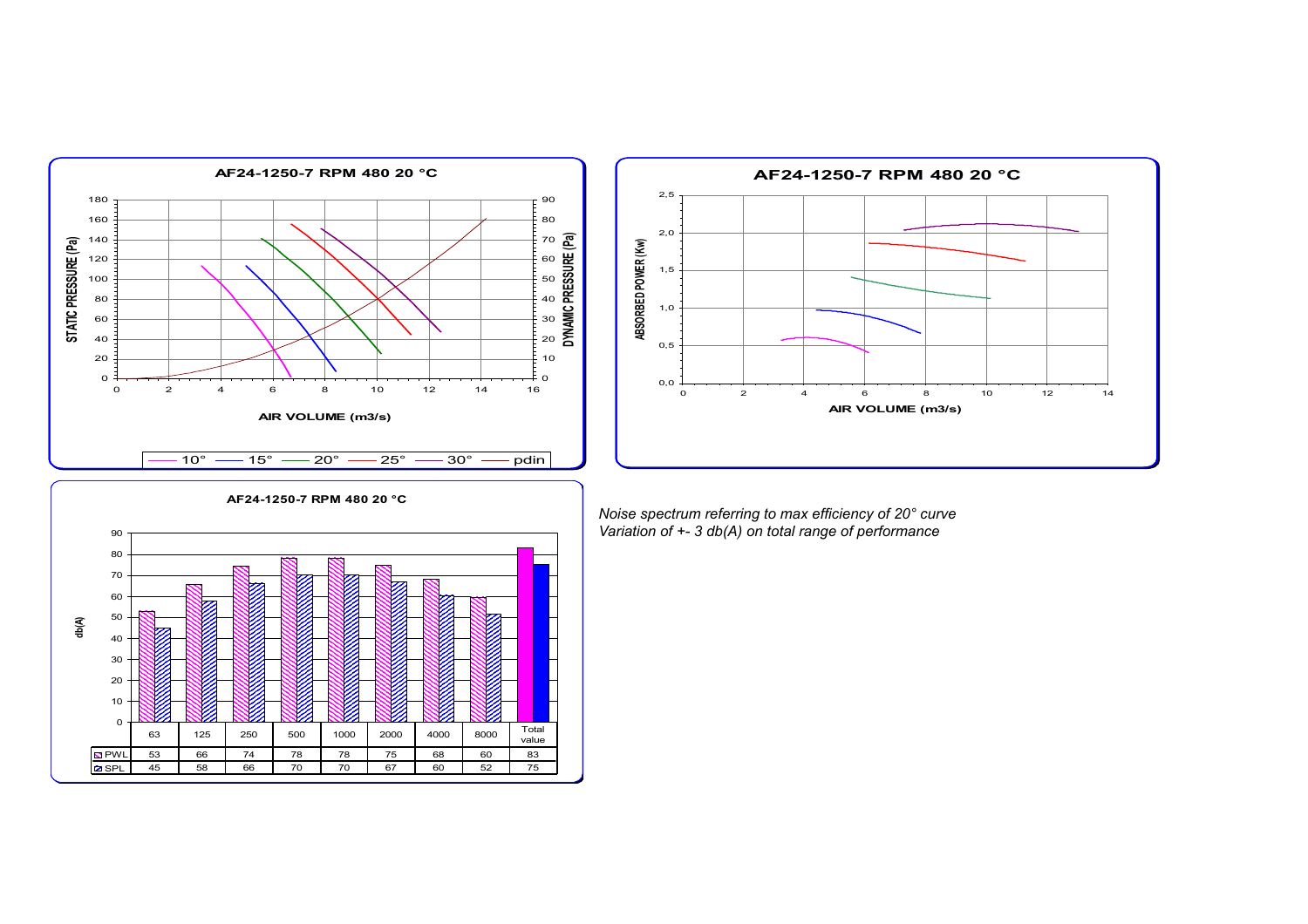



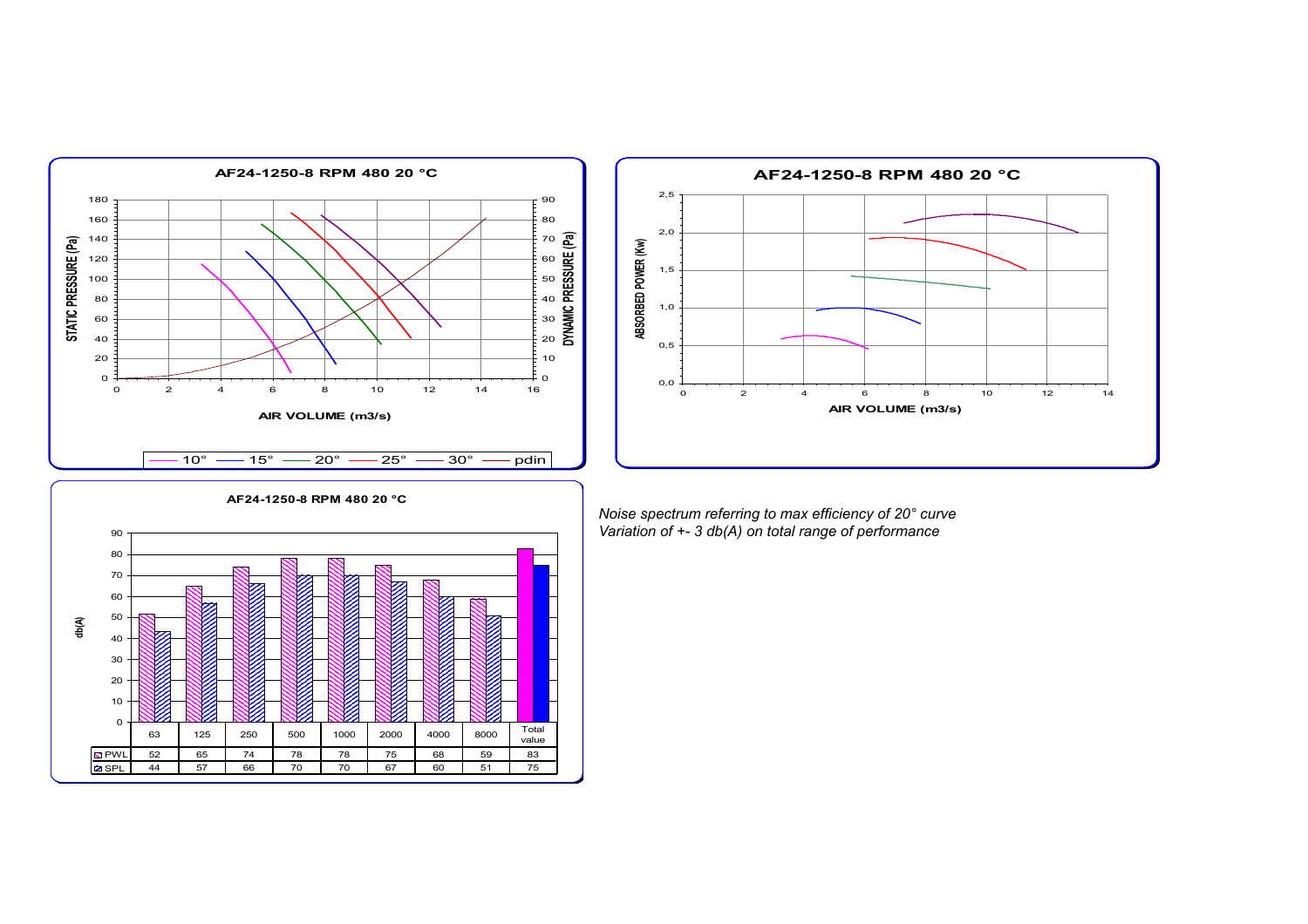